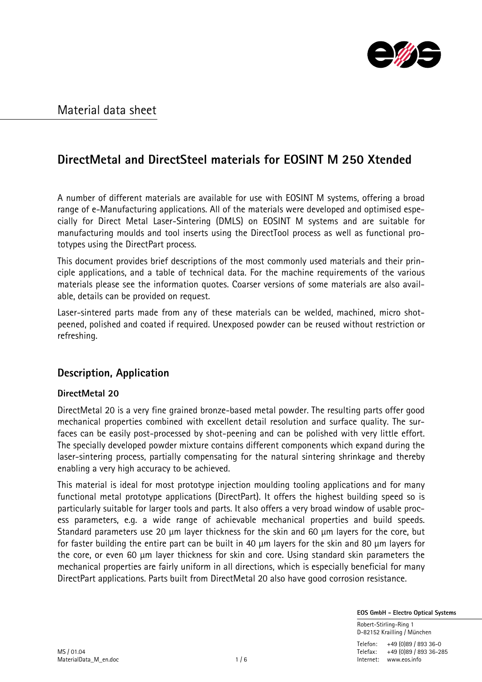

# DirectMetal and DirectSteel materials for EOSINT M 250 Xtended

A number of different materials are available for use with EOSINT M systems, offering a broad range of e-Manufacturing applications. All of the materials were developed and optimised especially for Direct Metal Laser-Sintering (DMLS) on EOSINT M systems and are suitable for manufacturing moulds and tool inserts using the DirectTool process as well as functional prototypes using the DirectPart process.

This document provides brief descriptions of the most commonly used materials and their principle applications, and a table of technical data. For the machine requirements of the various materials please see the information quotes. Coarser versions of some materials are also available, details can be provided on request.

Laser-sintered parts made from any of these materials can be welded, machined, micro shotpeened, polished and coated if required. Unexposed powder can be reused without restriction or refreshing.

## Description, Application

## DirectMetal 20

DirectMetal 20 is a very fine grained bronze-based metal powder. The resulting parts offer good mechanical properties combined with excellent detail resolution and surface quality. The surfaces can be easily post-processed by shot-peening and can be polished with very little effort. The specially developed powder mixture contains different components which expand during the laser-sintering process, partially compensating for the natural sintering shrinkage and thereby enabling a very high accuracy to be achieved.

This material is ideal for most prototype injection moulding tooling applications and for many functional metal prototype applications (DirectPart). It offers the highest building speed so is particularly suitable for larger tools and parts. It also offers a very broad window of usable process parameters, e.g. a wide range of achievable mechanical properties and build speeds. Standard parameters use 20 µm layer thickness for the skin and 60 µm layers for the core, but for faster building the entire part can be built in 40 µm layers for the skin and 80 µm layers for the core, or even 60 µm layer thickness for skin and core. Using standard skin parameters the mechanical properties are fairly uniform in all directions, which is especially beneficial for many DirectPart applications. Parts built from DirectMetal 20 also have good corrosion resistance.

EOS GmbH - Electro Optical Systems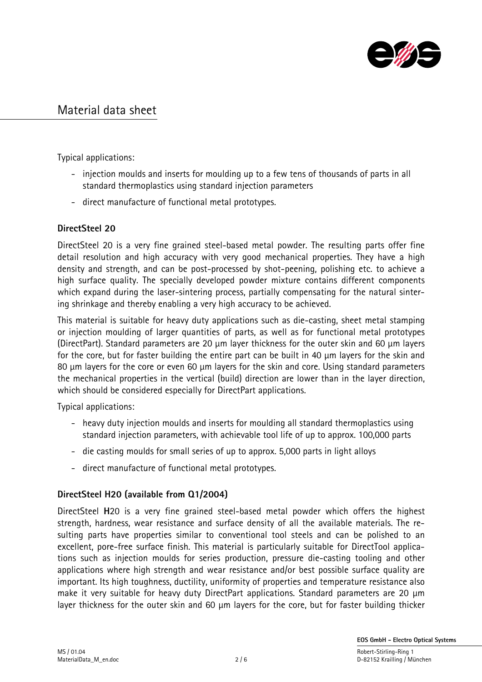

Typical applications:

- injection moulds and inserts for moulding up to a few tens of thousands of parts in all standard thermoplastics using standard injection parameters
- direct manufacture of functional metal prototypes.

## DirectSteel 20

DirectSteel 20 is a very fine grained steel-based metal powder. The resulting parts offer fine detail resolution and high accuracy with very good mechanical properties. They have a high density and strength, and can be post-processed by shot-peening, polishing etc. to achieve a high surface quality. The specially developed powder mixture contains different components which expand during the laser-sintering process, partially compensating for the natural sintering shrinkage and thereby enabling a very high accuracy to be achieved.

This material is suitable for heavy duty applications such as die-casting, sheet metal stamping or injection moulding of larger quantities of parts, as well as for functional metal prototypes (DirectPart). Standard parameters are 20 µm layer thickness for the outer skin and 60 µm layers for the core, but for faster building the entire part can be built in 40 µm layers for the skin and 80 µm layers for the core or even 60 µm layers for the skin and core. Using standard parameters the mechanical properties in the vertical (build) direction are lower than in the layer direction, which should be considered especially for DirectPart applications.

Typical applications:

- heavy duty injection moulds and inserts for moulding all standard thermoplastics using standard injection parameters, with achievable tool life of up to approx. 100,000 parts
- die casting moulds for small series of up to approx. 5,000 parts in light alloys
- direct manufacture of functional metal prototypes.

## DirectSteel H20 (available from Q1/2004)

DirectSteel H20 is a very fine grained steel-based metal powder which offers the highest strength, hardness, wear resistance and surface density of all the available materials. The resulting parts have properties similar to conventional tool steels and can be polished to an excellent, pore-free surface finish. This material is particularly suitable for DirectTool applications such as injection moulds for series production, pressure die-casting tooling and other applications where high strength and wear resistance and/or best possible surface quality are important. Its high toughness, ductility, uniformity of properties and temperature resistance also make it very suitable for heavy duty DirectPart applications. Standard parameters are 20 µm layer thickness for the outer skin and 60 µm layers for the core, but for faster building thicker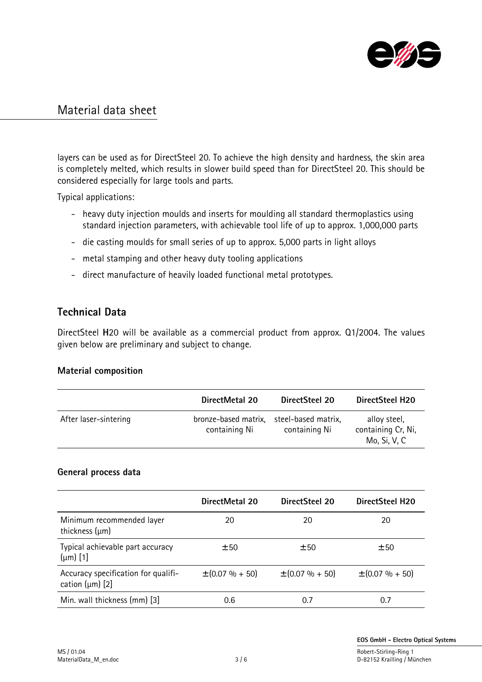

layers can be used as for DirectSteel 20. To achieve the high density and hardness, the skin area is completely melted, which results in slower build speed than for DirectSteel 20. This should be considered especially for large tools and parts.

Typical applications:

- heavy duty injection moulds and inserts for moulding all standard thermoplastics using standard injection parameters, with achievable tool life of up to approx. 1,000,000 parts
- die casting moulds for small series of up to approx. 5,000 parts in light alloys
- metal stamping and other heavy duty tooling applications
- direct manufacture of heavily loaded functional metal prototypes.

## Technical Data

DirectSteel H20 will be available as a commercial product from approx. Q1/2004. The values given below are preliminary and subject to change.

## Material composition

|                       | DirectMetal 20                        | DirectSteel 20                       | DirectSteel H20                                    |
|-----------------------|---------------------------------------|--------------------------------------|----------------------------------------------------|
| After laser-sintering | bronze-based matrix,<br>containing Ni | steel-based matrix,<br>containing Ni | alloy steel,<br>containing Cr, Ni,<br>Mo, Si, V, C |

## General process data

|                                                             | DirectMetal 20      | DirectSteel 20      | DirectSteel H20     |
|-------------------------------------------------------------|---------------------|---------------------|---------------------|
| Minimum recommended layer<br>thickness $(\mu m)$            | 20                  | 20                  | 20                  |
| Typical achievable part accuracy<br>$(\mu m)$ [1]           | ±50                 | ±50                 | ±50                 |
| Accuracy specification for qualifi-<br>cation $(\mu m)$ [2] | $\pm$ (0.07 % + 50) | $\pm (0.07\% + 50)$ | $\pm (0.07\% + 50)$ |
| Min. wall thickness (mm) [3]                                | 0.6                 | 0.7                 | 0.1                 |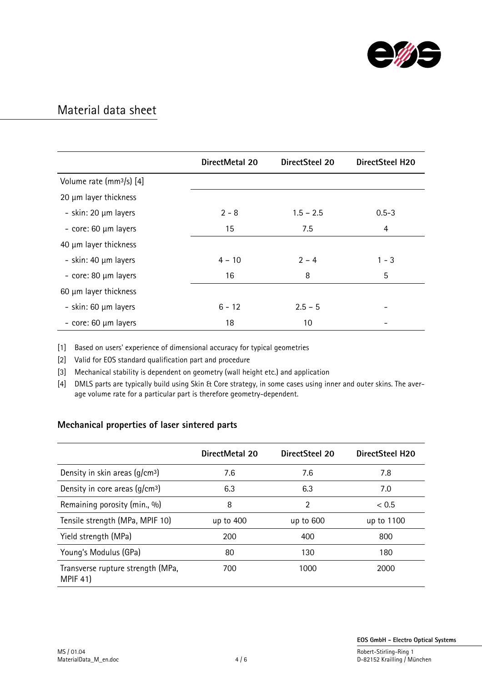

|                                      | DirectMetal 20 | <b>DirectSteel 20</b> | <b>DirectSteel H20</b> |
|--------------------------------------|----------------|-----------------------|------------------------|
| Volume rate (mm <sup>3</sup> /s) [4] |                |                       |                        |
| 20 µm layer thickness                |                |                       |                        |
| - skin: 20 µm layers                 | $2 - 8$        | $1.5 - 2.5$           | $0.5 - 3$              |
| - core: 60 µm layers                 | 15             | 7.5                   | 4                      |
| 40 µm layer thickness                |                |                       |                        |
| - skin: 40 µm layers                 | $4 - 10$       | $2 - 4$               | $1 - 3$                |
| - core: 80 µm layers                 | 16             | 8                     | 5                      |
| 60 µm layer thickness                |                |                       |                        |
| - skin: 60 µm layers                 | $6 - 12$       | $2.5 - 5$             |                        |
| - core: 60 µm layers                 | 18             | 10                    |                        |

[1] Based on users' experience of dimensional accuracy for typical geometries

[2] Valid for EOS standard qualification part and procedure

[3] Mechanical stability is dependent on geometry (wall height etc.) and application

[4] DMLS parts are typically build using Skin & Core strategy, in some cases using inner and outer skins. The average volume rate for a particular part is therefore geometry-dependent.

## Mechanical properties of laser sintered parts

|                                                      | DirectMetal 20 | DirectSteel 20 | DirectSteel H20 |
|------------------------------------------------------|----------------|----------------|-----------------|
| Density in skin areas $(q/cm3)$                      | 7.6            | 7.6            | 7.8             |
| Density in core areas $(q/cm3)$                      | 6.3            | 6.3            | 7.0             |
| Remaining porosity (min., %)                         | 8              | 2              | < 0.5           |
| Tensile strength (MPa, MPIF 10)                      | up to 400      | up to 600      | up to 1100      |
| Yield strength (MPa)                                 | 200            | 400            | 800             |
| Young's Modulus (GPa)                                | 80             | 130            | 180             |
| Transverse rupture strength (MPa,<br><b>MPIF 41)</b> | 700            | 1000           | 2000            |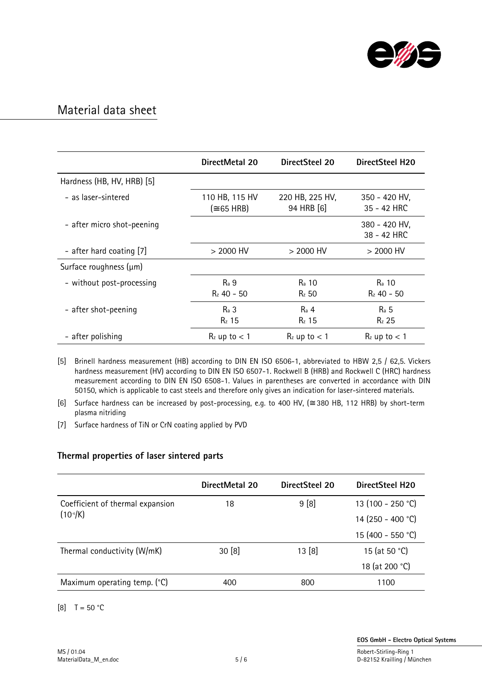

|                            | DirectMetal 20                       | DirectSteel 20                | DirectSteel H20                    |
|----------------------------|--------------------------------------|-------------------------------|------------------------------------|
| Hardness (HB, HV, HRB) [5] |                                      |                               |                                    |
| - as laser-sintered        | 110 HB, 115 HV<br>$(\approx 65$ HRB) | 220 HB, 225 HV,<br>94 HRB [6] | 350 - 420 HV,<br>35 - 42 HRC       |
| - after micro shot-peening |                                      |                               | 380 - 420 HV,<br>38 - 42 HRC       |
| - after hard coating [7]   | $>$ 2000 HV                          | $>$ 2000 HV                   | $>$ 2000 HV                        |
| Surface roughness (µm)     |                                      |                               |                                    |
| - without post-processing  | R <sub>a</sub> 9<br>$R_z$ 40 – 50    | R <sub>a</sub> 10<br>$Rz$ 50  | R <sub>a</sub> 10<br>$R_z$ 40 - 50 |
| - after shot-peening       | $Ra$ 3<br>$Rz$ 15                    | $Ra$ 4<br>$R_z$ 15            | $Ra$ 5<br>$Rz$ 25                  |
| - after polishing          | $R_z$ up to $< 1$                    | $R_z$ up to $< 1$             | $R_z$ up to $< 1$                  |

[5] Brinell hardness measurement (HB) according to DIN EN ISO 6506-1, abbreviated to HBW 2,5 / 62,5. Vickers hardness measurement (HV) according to DIN EN ISO 6507-1. Rockwell B (HRB) and Rockwell C (HRC) hardness measurement according to DIN EN ISO 6508-1. Values in parentheses are converted in accordance with DIN 50150, which is applicable to cast steels and therefore only gives an indication for laser-sintered materials.

[6] Surface hardness can be increased by post-processing, e.g. to 400 HV, (≅ 380 HB, 112 HRB) by short-term plasma nitriding

[7] Surface hardness of TiN or CrN coating applied by PVD

## Thermal properties of laser sintered parts

|                                                 | DirectMetal 20 | DirectSteel 20 | DirectSteel H20   |
|-------------------------------------------------|----------------|----------------|-------------------|
| Coefficient of thermal expansion<br>$(10 - 6)K$ | 18             | 9 [8]          | 13 (100 - 250 °C) |
|                                                 |                |                | 14 (250 - 400 °C) |
|                                                 |                |                | 15 (400 - 550 °C) |
| Thermal conductivity (W/mK)                     | 30[8]          | 13 [8]         | 15 (at 50 °C)     |
|                                                 |                |                | 18 (at 200 °C)    |
| Maximum operating temp. (°C)                    | 400            | 800            | 1100              |

 $[8]$  T = 50 °C